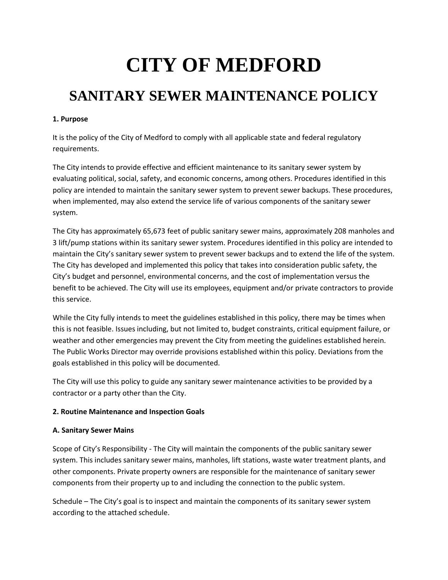# **CITY OF MEDFORD**

# **SANITARY SEWER MAINTENANCE POLICY**

#### **1. Purpose**

It is the policy of the City of Medford to comply with all applicable state and federal regulatory requirements.

The City intends to provide effective and efficient maintenance to its sanitary sewer system by evaluating political, social, safety, and economic concerns, among others. Procedures identified in this policy are intended to maintain the sanitary sewer system to prevent sewer backups. These procedures, when implemented, may also extend the service life of various components of the sanitary sewer system.

The City has approximately 65,673 feet of public sanitary sewer mains, approximately 208 manholes and 3 lift/pump stations within its sanitary sewer system. Procedures identified in this policy are intended to maintain the City's sanitary sewer system to prevent sewer backups and to extend the life of the system. The City has developed and implemented this policy that takes into consideration public safety, the City's budget and personnel, environmental concerns, and the cost of implementation versus the benefit to be achieved. The City will use its employees, equipment and/or private contractors to provide this service.

While the City fully intends to meet the guidelines established in this policy, there may be times when this is not feasible. Issues including, but not limited to, budget constraints, critical equipment failure, or weather and other emergencies may prevent the City from meeting the guidelines established herein. The Public Works Director may override provisions established within this policy. Deviations from the goals established in this policy will be documented.

The City will use this policy to guide any sanitary sewer maintenance activities to be provided by a contractor or a party other than the City.

#### **2. Routine Maintenance and Inspection Goals**

#### **A. Sanitary Sewer Mains**

Scope of City's Responsibility - The City will maintain the components of the public sanitary sewer system. This includes sanitary sewer mains, manholes, lift stations, waste water treatment plants, and other components. Private property owners are responsible for the maintenance of sanitary sewer components from their property up to and including the connection to the public system.

Schedule – The City's goal is to inspect and maintain the components of its sanitary sewer system according to the attached schedule.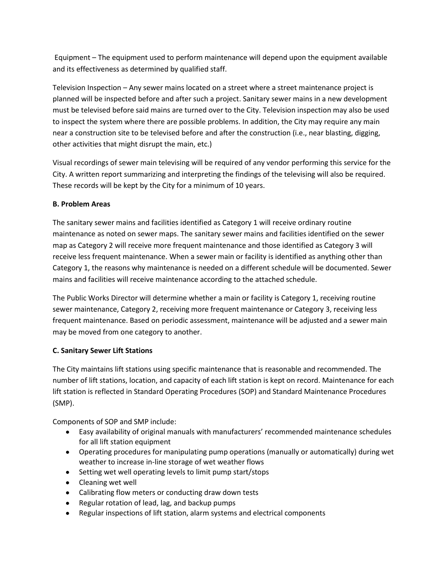Equipment – The equipment used to perform maintenance will depend upon the equipment available and its effectiveness as determined by qualified staff.

Television Inspection – Any sewer mains located on a street where a street maintenance project is planned will be inspected before and after such a project. Sanitary sewer mains in a new development must be televised before said mains are turned over to the City. Television inspection may also be used to inspect the system where there are possible problems. In addition, the City may require any main near a construction site to be televised before and after the construction (i.e., near blasting, digging, other activities that might disrupt the main, etc.)

Visual recordings of sewer main televising will be required of any vendor performing this service for the City. A written report summarizing and interpreting the findings of the televising will also be required. These records will be kept by the City for a minimum of 10 years.

#### **B. Problem Areas**

The sanitary sewer mains and facilities identified as Category 1 will receive ordinary routine maintenance as noted on sewer maps. The sanitary sewer mains and facilities identified on the sewer map as Category 2 will receive more frequent maintenance and those identified as Category 3 will receive less frequent maintenance. When a sewer main or facility is identified as anything other than Category 1, the reasons why maintenance is needed on a different schedule will be documented. Sewer mains and facilities will receive maintenance according to the attached schedule.

The Public Works Director will determine whether a main or facility is Category 1, receiving routine sewer maintenance, Category 2, receiving more frequent maintenance or Category 3, receiving less frequent maintenance. Based on periodic assessment, maintenance will be adjusted and a sewer main may be moved from one category to another.

# **C. Sanitary Sewer Lift Stations**

The City maintains lift stations using specific maintenance that is reasonable and recommended. The number of lift stations, location, and capacity of each lift station is kept on record. Maintenance for each lift station is reflected in Standard Operating Procedures (SOP) and Standard Maintenance Procedures (SMP).

Components of SOP and SMP include:

- Easy availability of original manuals with manufacturers' recommended maintenance schedules for all lift station equipment
- Operating procedures for manipulating pump operations (manually or automatically) during wet weather to increase in-line storage of wet weather flows
- Setting wet well operating levels to limit pump start/stops
- Cleaning wet well
- Calibrating flow meters or conducting draw down tests
- Regular rotation of lead, lag, and backup pumps
- Regular inspections of lift station, alarm systems and electrical components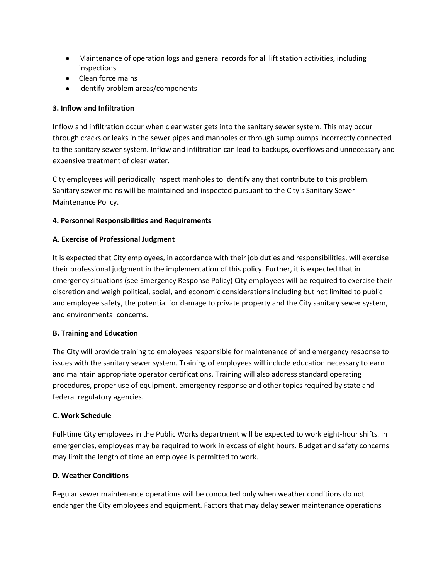- Maintenance of operation logs and general records for all lift station activities, including inspections
- Clean force mains
- Identify problem areas/components

#### **3. Inflow and Infiltration**

Inflow and infiltration occur when clear water gets into the sanitary sewer system. This may occur through cracks or leaks in the sewer pipes and manholes or through sump pumps incorrectly connected to the sanitary sewer system. Inflow and infiltration can lead to backups, overflows and unnecessary and expensive treatment of clear water.

City employees will periodically inspect manholes to identify any that contribute to this problem. Sanitary sewer mains will be maintained and inspected pursuant to the City's Sanitary Sewer Maintenance Policy.

#### **4. Personnel Responsibilities and Requirements**

#### **A. Exercise of Professional Judgment**

It is expected that City employees, in accordance with their job duties and responsibilities, will exercise their professional judgment in the implementation of this policy. Further, it is expected that in emergency situations (see Emergency Response Policy) City employees will be required to exercise their discretion and weigh political, social, and economic considerations including but not limited to public and employee safety, the potential for damage to private property and the City sanitary sewer system, and environmental concerns.

#### **B. Training and Education**

The City will provide training to employees responsible for maintenance of and emergency response to issues with the sanitary sewer system. Training of employees will include education necessary to earn and maintain appropriate operator certifications. Training will also address standard operating procedures, proper use of equipment, emergency response and other topics required by state and federal regulatory agencies.

#### **C. Work Schedule**

Full-time City employees in the Public Works department will be expected to work eight-hour shifts. In emergencies, employees may be required to work in excess of eight hours. Budget and safety concerns may limit the length of time an employee is permitted to work.

#### **D. Weather Conditions**

Regular sewer maintenance operations will be conducted only when weather conditions do not endanger the City employees and equipment. Factors that may delay sewer maintenance operations